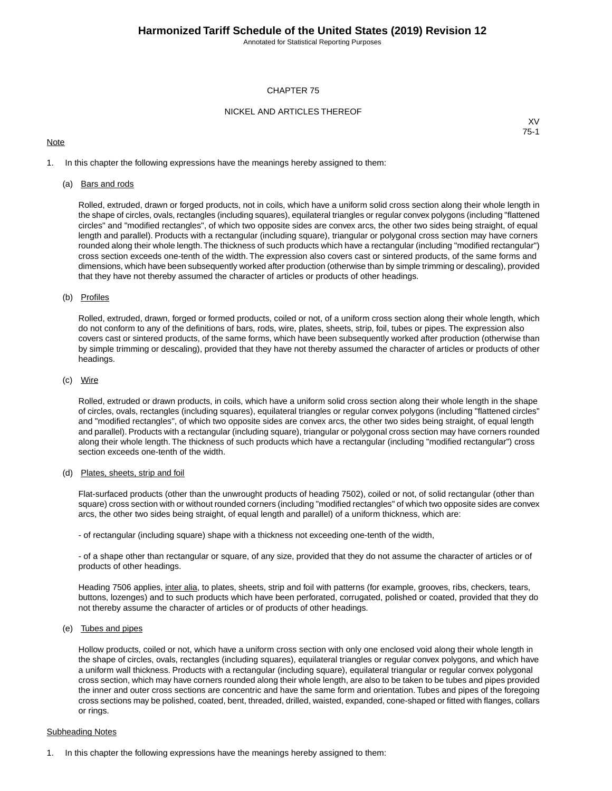Annotated for Statistical Reporting Purposes

#### CHAPTER 75

#### NICKEL AND ARTICLES THEREOF

#### **Note**

XV 75-1

1. In this chapter the following expressions have the meanings hereby assigned to them:

#### (a) Bars and rods

Rolled, extruded, drawn or forged products, not in coils, which have a uniform solid cross section along their whole length in the shape of circles, ovals, rectangles (including squares), equilateral triangles or regular convex polygons (including "flattened circles" and "modified rectangles", of which two opposite sides are convex arcs, the other two sides being straight, of equal length and parallel). Products with a rectangular (including square), triangular or polygonal cross section may have corners rounded along their whole length.The thickness of such products which have a rectangular (including "modified rectangular") cross section exceeds one-tenth of the width. The expression also covers cast or sintered products, of the same forms and dimensions, which have been subsequently worked after production (otherwise than by simple trimming or descaling), provided that they have not thereby assumed the character of articles or products of other headings.

#### (b) Profiles

Rolled, extruded, drawn, forged or formed products, coiled or not, of a uniform cross section along their whole length, which do not conform to any of the definitions of bars, rods, wire, plates, sheets, strip, foil, tubes or pipes. The expression also covers cast or sintered products, of the same forms, which have been subsequently worked after production (otherwise than by simple trimming or descaling), provided that they have not thereby assumed the character of articles or products of other headings.

#### (c) Wire

Rolled, extruded or drawn products, in coils, which have a uniform solid cross section along their whole length in the shape of circles, ovals, rectangles (including squares), equilateral triangles or regular convex polygons (including "flattened circles" and "modified rectangles", of which two opposite sides are convex arcs, the other two sides being straight, of equal length and parallel). Products with a rectangular (including square), triangular or polygonal cross section may have corners rounded along their whole length. The thickness of such products which have a rectangular (including "modified rectangular") cross section exceeds one-tenth of the width.

### (d) Plates, sheets, strip and foil

Flat-surfaced products (other than the unwrought products of heading 7502), coiled or not, of solid rectangular (other than square) cross section with or without rounded corners (including "modified rectangles" of which two opposite sides are convex arcs, the other two sides being straight, of equal length and parallel) of a uniform thickness, which are:

- of rectangular (including square) shape with a thickness not exceeding one-tenth of the width,

- of a shape other than rectangular or square, of any size, provided that they do not assume the character of articles or of products of other headings.

Heading 7506 applies, inter alia, to plates, sheets, strip and foil with patterns (for example, grooves, ribs, checkers, tears, buttons, lozenges) and to such products which have been perforated, corrugated, polished or coated, provided that they do not thereby assume the character of articles or of products of other headings.

#### (e) Tubes and pipes

Hollow products, coiled or not, which have a uniform cross section with only one enclosed void along their whole length in the shape of circles, ovals, rectangles (including squares), equilateral triangles or regular convex polygons, and which have a uniform wall thickness. Products with a rectangular (including square), equilateral triangular or regular convex polygonal cross section, which may have corners rounded along their whole length, are also to be taken to be tubes and pipes provided the inner and outer cross sections are concentric and have the same form and orientation. Tubes and pipes of the foregoing cross sections may be polished, coated, bent, threaded, drilled, waisted, expanded, cone-shaped or fitted with flanges, collars or rings.

#### Subheading Notes

1. In this chapter the following expressions have the meanings hereby assigned to them: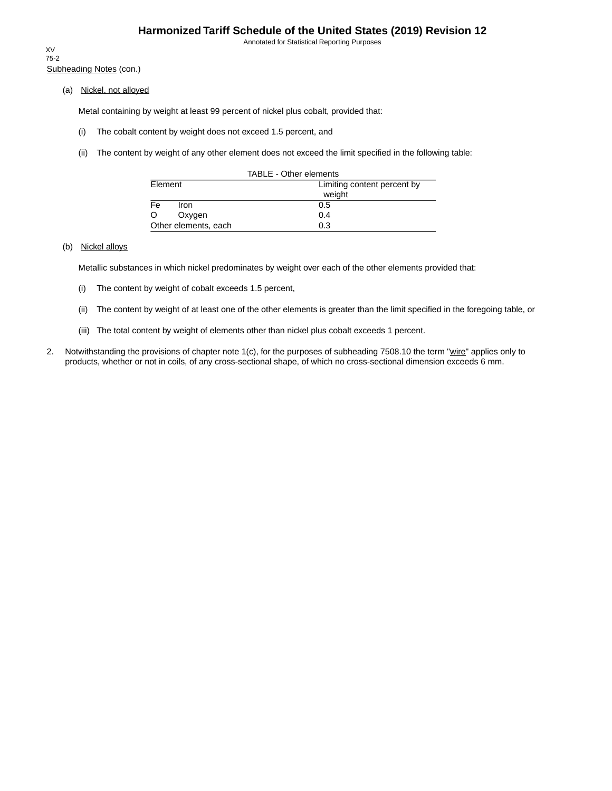Annotated for Statistical Reporting Purposes

Subheading Notes (con.) XV 75-2

(a) Nickel, not alloyed

Metal containing by weight at least 99 percent of nickel plus cobalt, provided that:

- (i) The cobalt content by weight does not exceed 1.5 percent, and
- (ii) The content by weight of any other element does not exceed the limit specified in the following table:

| TABLE - Other elements           |                             |  |  |  |  |
|----------------------------------|-----------------------------|--|--|--|--|
| Element                          | Limiting content percent by |  |  |  |  |
|                                  | weight                      |  |  |  |  |
| $\overline{\mathsf{Fe}}$<br>Iron | 0.5                         |  |  |  |  |
| O<br>Oxygen                      | 0.4                         |  |  |  |  |
| Other elements, each             | 0.3                         |  |  |  |  |

### (b) Nickel alloys

Metallic substances in which nickel predominates by weight over each of the other elements provided that:

- (i) The content by weight of cobalt exceeds 1.5 percent,
- (ii) The content by weight of at least one of the other elements is greater than the limit specified in the foregoing table, or
- (iii) The total content by weight of elements other than nickel plus cobalt exceeds 1 percent.
- 2. Notwithstanding the provisions of chapter note 1(c), for the purposes of subheading 7508.10 the term "wire" applies only to products, whether or not in coils, of any cross-sectional shape, of which no cross-sectional dimension exceeds 6 mm.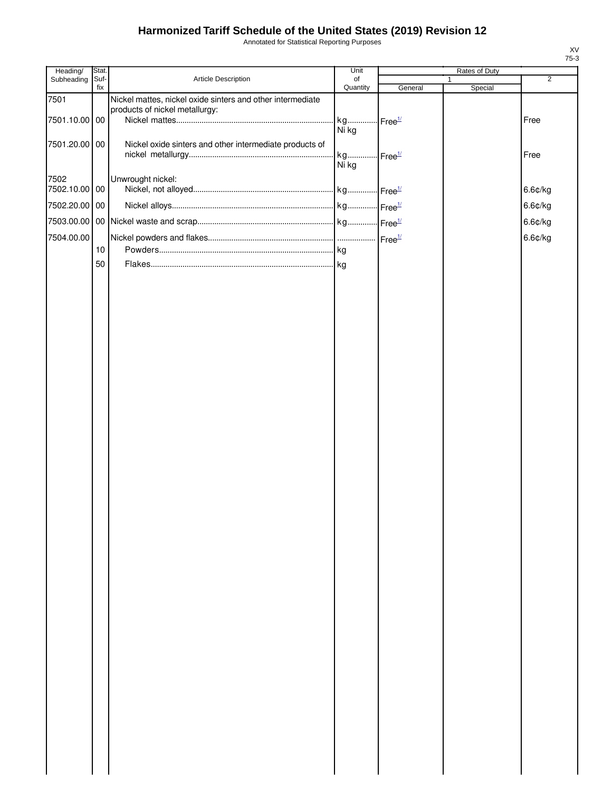Annotated for Statistical Reporting Purposes

| Heading/      | Stat.       |                                                            | Unit                           |         | Rates of Duty |                |
|---------------|-------------|------------------------------------------------------------|--------------------------------|---------|---------------|----------------|
| Subheading    | Suf-<br>fix | Article Description                                        | of<br>Quantity                 | General | Special       | $\overline{2}$ |
| 7501          |             | Nickel mattes, nickel oxide sinters and other intermediate |                                |         |               |                |
| 7501.10.00 00 |             | products of nickel metallurgy:                             | kg Free <sup>1/</sup>          |         |               | Free           |
|               |             |                                                            | Ni kg                          |         |               |                |
| 7501.20.00 00 |             | Nickel oxide sinters and other intermediate products of    |                                |         |               |                |
|               |             |                                                            | kg Free <sup>1/</sup><br>Ni kg |         |               | Free           |
| 7502          |             | Unwrought nickel:                                          |                                |         |               |                |
| 7502.10.00 00 |             |                                                            |                                |         |               | 6.6¢/kg        |
| 7502.20.00 00 |             |                                                            |                                |         |               | 6.6¢/kg        |
| 7503.00.00    |             |                                                            |                                |         |               | 6.6¢/kg        |
| 7504.00.00    |             |                                                            |                                |         |               | 6.6¢/kg        |
|               | 10          |                                                            |                                |         |               |                |
|               | 50          |                                                            |                                |         |               |                |
|               |             |                                                            |                                |         |               |                |
|               |             |                                                            |                                |         |               |                |
|               |             |                                                            |                                |         |               |                |
|               |             |                                                            |                                |         |               |                |
|               |             |                                                            |                                |         |               |                |
|               |             |                                                            |                                |         |               |                |
|               |             |                                                            |                                |         |               |                |
|               |             |                                                            |                                |         |               |                |
|               |             |                                                            |                                |         |               |                |
|               |             |                                                            |                                |         |               |                |
|               |             |                                                            |                                |         |               |                |
|               |             |                                                            |                                |         |               |                |
|               |             |                                                            |                                |         |               |                |
|               |             |                                                            |                                |         |               |                |
|               |             |                                                            |                                |         |               |                |
|               |             |                                                            |                                |         |               |                |
|               |             |                                                            |                                |         |               |                |
|               |             |                                                            |                                |         |               |                |
|               |             |                                                            |                                |         |               |                |
|               |             |                                                            |                                |         |               |                |
|               |             |                                                            |                                |         |               |                |
|               |             |                                                            |                                |         |               |                |
|               |             |                                                            |                                |         |               |                |
|               |             |                                                            |                                |         |               |                |
|               |             |                                                            |                                |         |               |                |
|               |             |                                                            |                                |         |               |                |
|               |             |                                                            |                                |         |               |                |
|               |             |                                                            |                                |         |               |                |
|               |             |                                                            |                                |         |               |                |
|               |             |                                                            |                                |         |               |                |
|               |             |                                                            |                                |         |               |                |
|               |             |                                                            |                                |         |               |                |
|               |             |                                                            |                                |         |               |                |
|               |             |                                                            |                                |         |               |                |
|               |             |                                                            |                                |         |               |                |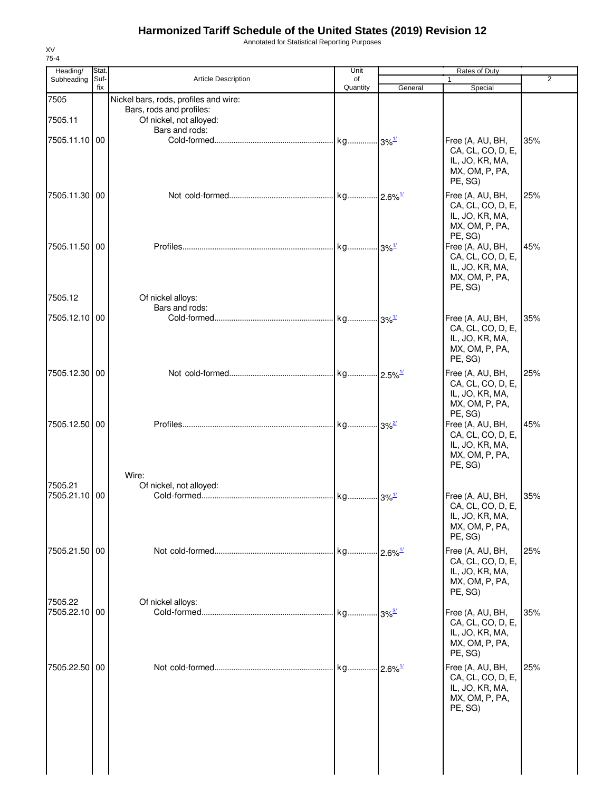Annotated for Statistical Reporting Purposes

| Heading/      | Stat.       |                                       | Unit                |                        |                                       |                |
|---------------|-------------|---------------------------------------|---------------------|------------------------|---------------------------------------|----------------|
| Subheading    | Suf-<br>fix | <b>Article Description</b>            | of<br>Quantity      | General                | Special                               | $\overline{2}$ |
| 7505          |             | Nickel bars, rods, profiles and wire: |                     |                        |                                       |                |
|               |             | Bars, rods and profiles:              |                     |                        |                                       |                |
| 7505.11       |             | Of nickel, not alloyed:               |                     |                        |                                       |                |
|               |             | Bars and rods:                        |                     |                        |                                       | 35%            |
| 7505.11.10 00 |             |                                       |                     |                        | Free (A, AU, BH,<br>CA, CL, CO, D, E, |                |
|               |             |                                       |                     |                        | IL, JO, KR, MA,                       |                |
|               |             |                                       |                     |                        | MX, OM, P, PA,                        |                |
|               |             |                                       |                     |                        | PE, SG)                               |                |
| 7505.11.30 00 |             |                                       |                     |                        | Free (A, AU, BH,                      | 25%            |
|               |             |                                       |                     |                        | CA, CL, CO, D, E,<br>IL, JO, KR, MA,  |                |
|               |             |                                       |                     |                        | MX, OM, P, PA,                        |                |
|               |             |                                       |                     |                        | PE, SG)                               |                |
| 7505.11.50 00 |             |                                       |                     |                        | Free (A, AU, BH,                      | 45%            |
|               |             |                                       |                     |                        | CA, CL, CO, D, E,<br>IL, JO, KR, MA,  |                |
|               |             |                                       |                     |                        | MX, OM, P, PA,                        |                |
|               |             |                                       |                     |                        | PE, SG)                               |                |
| 7505.12       |             | Of nickel alloys:                     |                     |                        |                                       |                |
| 7505.12.10    | 00          | Bars and rods:                        |                     |                        | Free (A, AU, BH,                      | 35%            |
|               |             |                                       |                     |                        | CA, CL, CO, D, E,                     |                |
|               |             |                                       |                     |                        | IL, JO, KR, MA,                       |                |
|               |             |                                       |                     |                        | MX, OM, P, PA,                        |                |
|               |             |                                       |                     |                        | PE, SG)                               |                |
| 7505.12.30 00 |             |                                       |                     |                        | Free (A, AU, BH,<br>CA, CL, CO, D, E, | 25%            |
|               |             |                                       |                     |                        | IL, JO, KR, MA,                       |                |
|               |             |                                       |                     |                        | MX, OM, P, PA,                        |                |
|               |             |                                       |                     |                        | PE, SG)                               |                |
| 7505.12.50 00 |             |                                       |                     |                        | Free (A, AU, BH,<br>CA, CL, CO, D, E, | 45%            |
|               |             |                                       |                     |                        | IL, JO, KR, MA,                       |                |
|               |             |                                       |                     |                        | MX, OM, P, PA,                        |                |
|               |             |                                       |                     |                        | PE, SG)                               |                |
| 7505.21       |             | Wire:<br>Of nickel, not alloyed:      |                     |                        |                                       |                |
| 7505.21.10    | 00          |                                       |                     |                        | Free (A, AU, BH,                      | 35%            |
|               |             |                                       |                     |                        | CA, CL, CO, D, E,                     |                |
|               |             |                                       |                     |                        | IL, JO, KR, MA,                       |                |
|               |             |                                       |                     |                        | MX, OM, P, PA,<br>PE, SG)             |                |
| 7505.21.50 00 |             |                                       |                     | $-2.6\%$ <sup>1/</sup> | Free (A, AU, BH,                      | 25%            |
|               |             |                                       |                     |                        | CA, CL, CO, D, E,                     |                |
|               |             |                                       |                     |                        | IL, JO, KR, MA,                       |                |
|               |             |                                       |                     |                        | MX, OM, P, PA,                        |                |
| 7505.22       |             | Of nickel alloys:                     |                     |                        | PE, SG)                               |                |
| 7505.22.10 00 |             |                                       | kg 3% <sup>3/</sup> |                        | Free (A, AU, BH,                      | 35%            |
|               |             |                                       |                     |                        | CA, CL, CO, D, E,                     |                |
|               |             |                                       |                     |                        | IL, JO, KR, MA,<br>MX, OM, P, PA,     |                |
|               |             |                                       |                     |                        | PE, SG)                               |                |
| 7505.22.50 00 |             |                                       |                     | $.12.6\%$              | Free (A, AU, BH,                      | 25%            |
|               |             |                                       |                     |                        | CA, CL, CO, D, E,                     |                |
|               |             |                                       |                     |                        | IL, JO, KR, MA,                       |                |
|               |             |                                       |                     |                        | MX, OM, P, PA,                        |                |
|               |             |                                       |                     |                        | PE, SG)                               |                |
|               |             |                                       |                     |                        |                                       |                |
|               |             |                                       |                     |                        |                                       |                |
|               |             |                                       |                     |                        |                                       |                |
|               |             |                                       |                     |                        |                                       |                |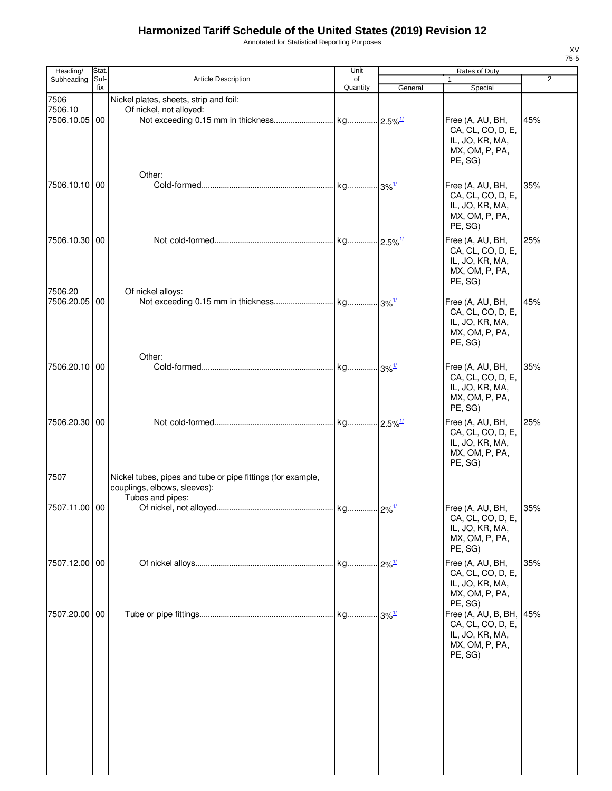Annotated for Statistical Reporting Purposes

| Heading/                      | <b>Stat</b> |                                                                   | Unit           |         | Rates of Duty                                                                                           |                |
|-------------------------------|-------------|-------------------------------------------------------------------|----------------|---------|---------------------------------------------------------------------------------------------------------|----------------|
| Subheading                    | Suf-<br>fix | <b>Article Description</b>                                        | of<br>Quantity | General | $\mathbf{1}$<br>Special                                                                                 | $\overline{2}$ |
| 7506<br>7506.10<br>7506.10.05 | 00          | Nickel plates, sheets, strip and foil:<br>Of nickel, not alloyed: |                |         | Free (A, AU, BH,<br>CA, CL, CO, D, E,<br>IL, JO, KR, MA,<br>MX, OM, P, PA,<br>PE, SG)                   | 45%            |
| 7506.10.10 00                 |             | Other:                                                            |                |         | Free (A, AU, BH,<br>CA, CL, CO, D, E,<br>IL, JO, KR, MA,<br>MX, OM, P, PA,<br>PE, SG)                   | 35%            |
| 7506.10.30 00                 |             |                                                                   |                |         | Free (A, AU, BH,<br>CA, CL, CO, D, E,<br>IL, JO, KR, MA,<br>MX, OM, P, PA,<br>PE, SG)                   | 25%            |
| 7506.20<br>7506.20.05         | 00          | Of nickel alloys:                                                 |                |         | Free (A, AU, BH,<br>CA, CL, CO, D, E,<br>IL, JO, KR, MA,<br>MX, OM, P, PA,<br>PE, SG)                   | 45%            |
| 7506.20.10 00                 |             | Other:                                                            |                |         | Free (A, AU, BH,<br>CA, CL, CO, D, E,<br>IL, JO, KR, MA,<br>MX, OM, P, PA,<br>PE, SG)                   | 35%            |
| 7506.20.30 00<br>7507         |             | Nickel tubes, pipes and tube or pipe fittings (for example,       |                |         | Free (A, AU, BH,<br>CA, CL, CO, D, E,<br>IL, JO, KR, MA,<br>MX, OM, P, PA,<br>PE, SG)                   | 25%            |
| 7507.11.00 00                 |             | couplings, elbows, sleeves):<br>Tubes and pipes:                  |                |         | Free (A, AU, BH,<br>CA, CL, CO, D, E,<br>IL, JO, KR, MA,                                                | 35%            |
| 7507.12.00 00                 |             |                                                                   |                |         | MX, OM, P, PA,<br>PE, SG)<br>Free (A, AU, BH,<br>CA, CL, CO, D, E,<br>IL, JO, KR, MA,<br>MX, OM, P, PA, | 35%            |
| 7507.20.00 00                 |             |                                                                   |                |         | PE, SG)<br>Free (A, AU, B, BH, 45%<br>CA, CL, CO, D, E,<br>IL, JO, KR, MA,<br>MX, OM, P, PA,<br>PE, SG) |                |
|                               |             |                                                                   |                |         |                                                                                                         |                |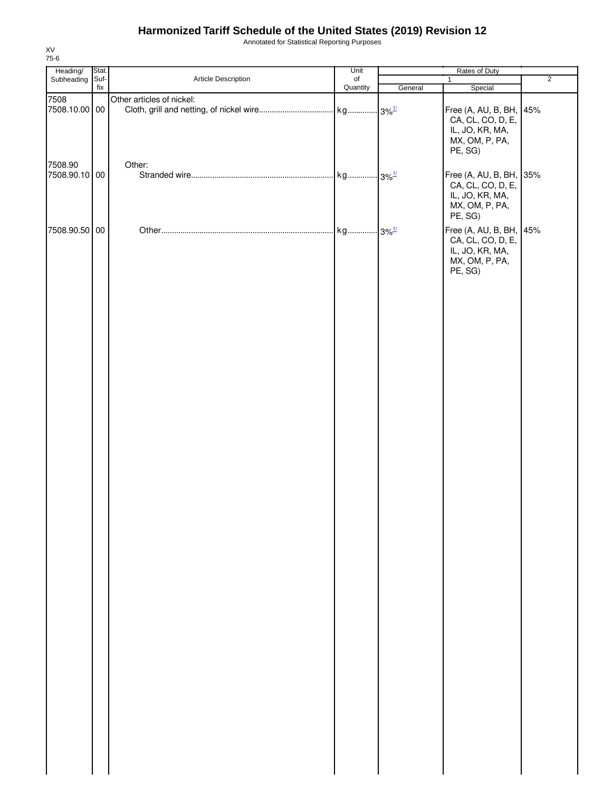Annotated for Statistical Reporting Purposes

| Heading/                 | Stat.       |                           | Unit           | Rates of Duty |                                                                                              |                |
|--------------------------|-------------|---------------------------|----------------|---------------|----------------------------------------------------------------------------------------------|----------------|
| Subheading               | Suf-<br>fix | Article Description       | of<br>Quantity | General       | $\mathbf{1}$<br>Special                                                                      | $\overline{2}$ |
| 7508<br>7508.10.00 00    |             | Other articles of nickel: |                |               | Free (A, AU, B, BH,<br>CA, CL, CO, D, E,<br>IL, JO, KR, MA,<br>MX, OM, P, PA,<br>PE, SG)     | 45%            |
| 7508.90<br>7508.90.10 00 |             | Other:                    |                |               | Free (A, AU, B, BH, 35%<br>CA, CL, CO, D, E,<br>IL, JO, KR, MA,<br>MX, OM, P, PA,<br>PE, SG) |                |
| 7508.90.50 00            |             |                           |                |               | Free (A, AU, B, BH, 45%<br>CA, CL, CO, D, E,<br>IL, JO, KR, MA,<br>MX, OM, P, PA,<br>PE, SG) |                |